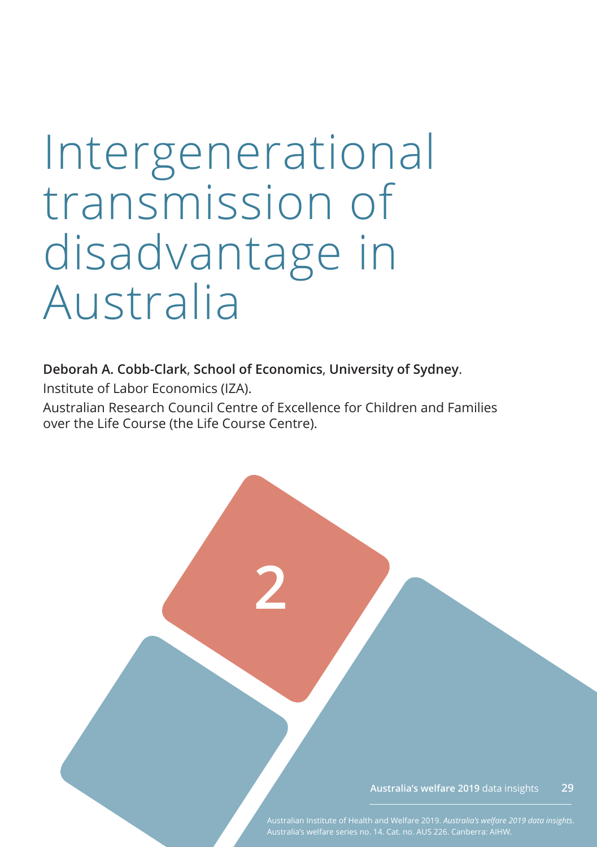# Intergenerational transmission of disadvantage in Australia

**Deborah A. Cobb-Clark**, **School of Economics**, **University of Sydney**.

Institute of Labor Economics (IZA).

Australian Research Council Centre of Excellence for Children and Families over the Life Course (the Life Course Centre).

**2**

**Australia's welfare 2019** data insights **29**

Australian Institute of Health and Welfare 2019. *Australia's welfare 2019 data insights*.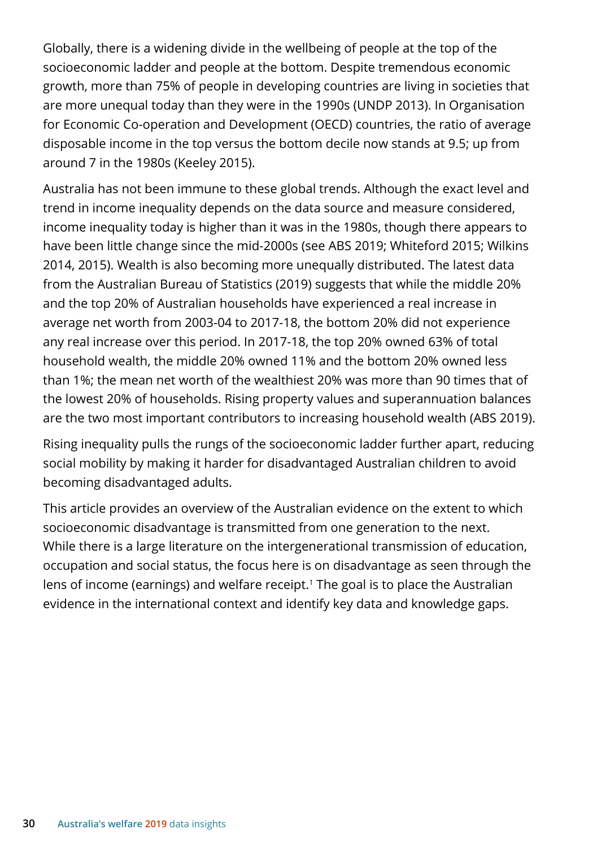Globally, there is a widening divide in the wellbeing of people at the top of the socioeconomic ladder and people at the bottom. Despite tremendous economic growth, more than 75% of people in developing countries are living in societies that are more unequal today than they were in the 1990s (UNDP 2013). In Organisation for Economic Co-operation and Development (OECD) countries, the ratio of average disposable income in the top versus the bottom decile now stands at 9.5; up from around 7 in the 1980s (Keeley 2015).

Australia has not been immune to these global trends. Although the exact level and trend in income inequality depends on the data source and measure considered, income inequality today is higher than it was in the 1980s, though there appears to have been little change since the mid-2000s (see ABS 2019; Whiteford 2015; Wilkins 2014, 2015). Wealth is also becoming more unequally distributed. The latest data from the Australian Bureau of Statistics (2019) suggests that while the middle 20% and the top 20% of Australian households have experienced a real increase in average net worth from 2003-04 to 2017-18, the bottom 20% did not experience any real increase over this period. In 2017-18, the top 20% owned 63% of total household wealth, the middle 20% owned 11% and the bottom 20% owned less than 1%; the mean net worth of the wealthiest 20% was more than 90 times that of the lowest 20% of households. Rising property values and superannuation balances are the two most important contributors to increasing household wealth (ABS 2019).

Rising inequality pulls the rungs of the socioeconomic ladder further apart, reducing social mobility by making it harder for disadvantaged Australian children to avoid becoming disadvantaged adults.

This article provides an overview of the Australian evidence on the extent to which socioeconomic disadvantage is transmitted from one generation to the next. While there is a large literature on the intergenerational transmission of education, occupation and social status, the focus here is on disadvantage as seen through the lens of income (earnings) and welfare receipt.<sup>1</sup> The goal is to place the Australian evidence in the international context and identify key data and knowledge gaps.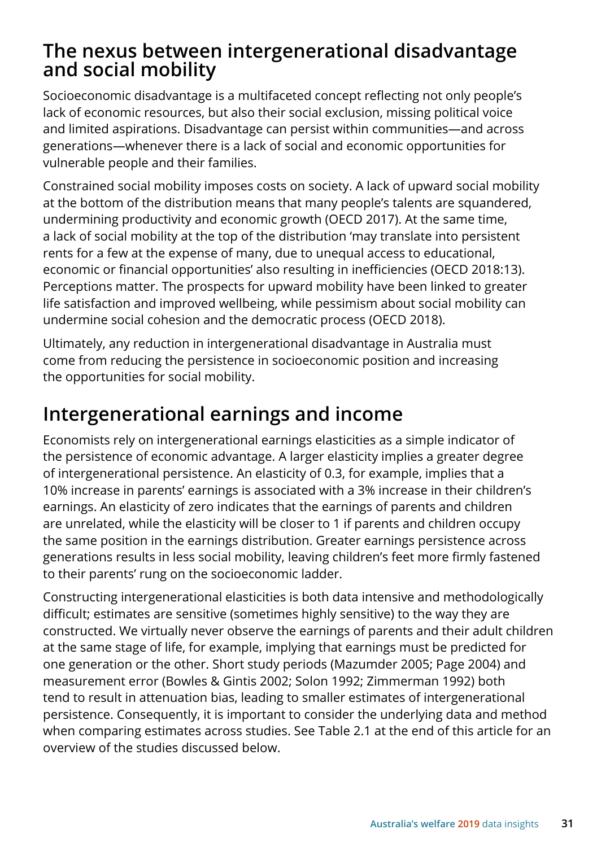## **The nexus between intergenerational disadvantage and social mobility**

Socioeconomic disadvantage is a multifaceted concept reflecting not only people's lack of economic resources, but also their social exclusion, missing political voice and limited aspirations. Disadvantage can persist within communities—and across generations—whenever there is a lack of social and economic opportunities for vulnerable people and their families.

Constrained social mobility imposes costs on society. A lack of upward social mobility at the bottom of the distribution means that many people's talents are squandered, undermining productivity and economic growth (OECD 2017). At the same time, a lack of social mobility at the top of the distribution 'may translate into persistent rents for a few at the expense of many, due to unequal access to educational, economic or financial opportunities' also resulting in inefficiencies (OECD 2018:13). Perceptions matter. The prospects for upward mobility have been linked to greater life satisfaction and improved wellbeing, while pessimism about social mobility can undermine social cohesion and the democratic process (OECD 2018).

Ultimately, any reduction in intergenerational disadvantage in Australia must come from reducing the persistence in socioeconomic position and increasing the opportunities for social mobility.

# **Intergenerational earnings and income**

Economists rely on intergenerational earnings elasticities as a simple indicator of the persistence of economic advantage. A larger elasticity implies a greater degree of intergenerational persistence. An elasticity of 0.3, for example, implies that a 10% increase in parents' earnings is associated with a 3% increase in their children's earnings. An elasticity of zero indicates that the earnings of parents and children are unrelated, while the elasticity will be closer to 1 if parents and children occupy the same position in the earnings distribution. Greater earnings persistence across generations results in less social mobility, leaving children's feet more firmly fastened to their parents' rung on the socioeconomic ladder.

Constructing intergenerational elasticities is both data intensive and methodologically difficult; estimates are sensitive (sometimes highly sensitive) to the way they are constructed. We virtually never observe the earnings of parents and their adult children at the same stage of life, for example, implying that earnings must be predicted for one generation or the other. Short study periods (Mazumder 2005; Page 2004) and measurement error (Bowles & Gintis 2002; Solon 1992; Zimmerman 1992) both tend to result in attenuation bias, leading to smaller estimates of intergenerational persistence. Consequently, it is important to consider the underlying data and method when comparing estimates across studies. See Table 2.1 at the end of this article for an overview of the studies discussed below.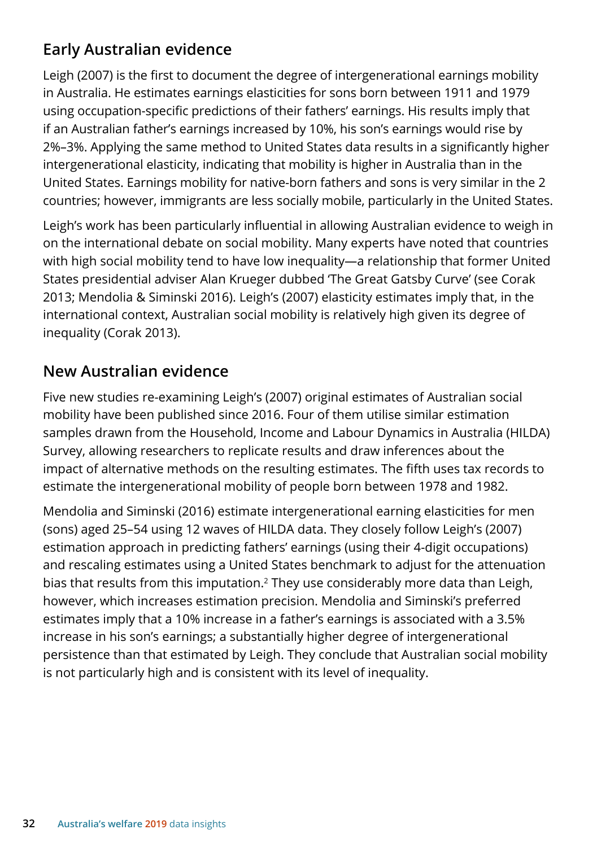## **Early Australian evidence**

Leigh (2007) is the first to document the degree of intergenerational earnings mobility in Australia. He estimates earnings elasticities for sons born between 1911 and 1979 using occupation-specific predictions of their fathers' earnings. His results imply that if an Australian father's earnings increased by 10%, his son's earnings would rise by 2%–3%. Applying the same method to United States data results in a significantly higher intergenerational elasticity, indicating that mobility is higher in Australia than in the United States. Earnings mobility for native-born fathers and sons is very similar in the 2 countries; however, immigrants are less socially mobile, particularly in the United States.

Leigh's work has been particularly influential in allowing Australian evidence to weigh in on the international debate on social mobility. Many experts have noted that countries with high social mobility tend to have low inequality—a relationship that former United States presidential adviser Alan Krueger dubbed 'The Great Gatsby Curve' (see Corak 2013; Mendolia & Siminski 2016). Leigh's (2007) elasticity estimates imply that, in the international context, Australian social mobility is relatively high given its degree of inequality (Corak 2013).

## **New Australian evidence**

Five new studies re-examining Leigh's (2007) original estimates of Australian social mobility have been published since 2016. Four of them utilise similar estimation samples drawn from the Household, Income and Labour Dynamics in Australia (HILDA) Survey, allowing researchers to replicate results and draw inferences about the impact of alternative methods on the resulting estimates. The fifth uses tax records to estimate the intergenerational mobility of people born between 1978 and 1982.

Mendolia and Siminski (2016) estimate intergenerational earning elasticities for men (sons) aged 25–54 using 12 waves of HILDA data. They closely follow Leigh's (2007) estimation approach in predicting fathers' earnings (using their 4-digit occupations) and rescaling estimates using a United States benchmark to adjust for the attenuation bias that results from this imputation.<sup>2</sup> They use considerably more data than Leigh, however, which increases estimation precision. Mendolia and Siminski's preferred estimates imply that a 10% increase in a father's earnings is associated with a 3.5% increase in his son's earnings; a substantially higher degree of intergenerational persistence than that estimated by Leigh. They conclude that Australian social mobility is not particularly high and is consistent with its level of inequality.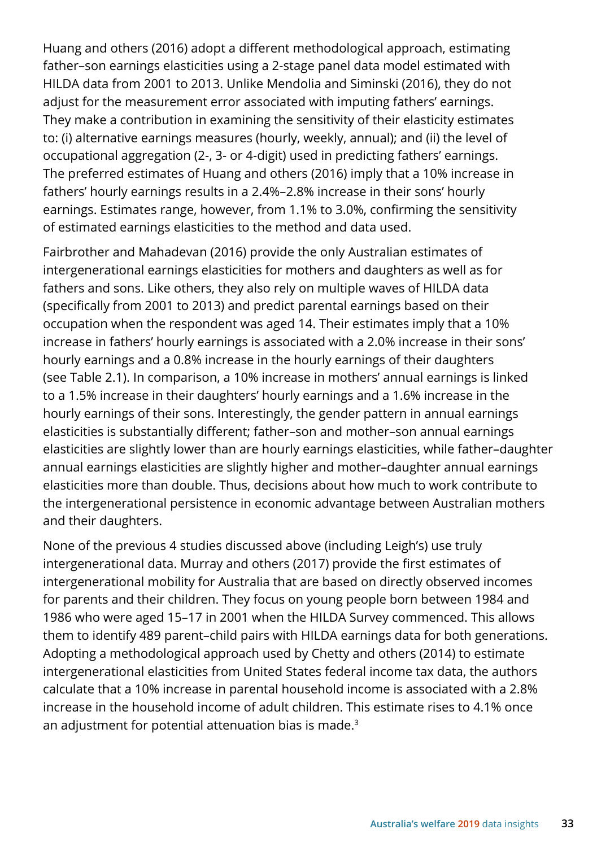Huang and others (2016) adopt a different methodological approach, estimating father–son earnings elasticities using a 2-stage panel data model estimated with HILDA data from 2001 to 2013. Unlike Mendolia and Siminski (2016), they do not adjust for the measurement error associated with imputing fathers' earnings. They make a contribution in examining the sensitivity of their elasticity estimates to: (i) alternative earnings measures (hourly, weekly, annual); and (ii) the level of occupational aggregation (2-, 3- or 4-digit) used in predicting fathers' earnings. The preferred estimates of Huang and others (2016) imply that a 10% increase in fathers' hourly earnings results in a 2.4%–2.8% increase in their sons' hourly earnings. Estimates range, however, from 1.1% to 3.0%, confirming the sensitivity of estimated earnings elasticities to the method and data used.

Fairbrother and Mahadevan (2016) provide the only Australian estimates of intergenerational earnings elasticities for mothers and daughters as well as for fathers and sons. Like others, they also rely on multiple waves of HILDA data (specifically from 2001 to 2013) and predict parental earnings based on their occupation when the respondent was aged 14. Their estimates imply that a 10% increase in fathers' hourly earnings is associated with a 2.0% increase in their sons' hourly earnings and a 0.8% increase in the hourly earnings of their daughters (see Table 2.1). In comparison, a 10% increase in mothers' annual earnings is linked to a 1.5% increase in their daughters' hourly earnings and a 1.6% increase in the hourly earnings of their sons. Interestingly, the gender pattern in annual earnings elasticities is substantially different; father–son and mother–son annual earnings elasticities are slightly lower than are hourly earnings elasticities, while father–daughter annual earnings elasticities are slightly higher and mother–daughter annual earnings elasticities more than double. Thus, decisions about how much to work contribute to the intergenerational persistence in economic advantage between Australian mothers and their daughters.

None of the previous 4 studies discussed above (including Leigh's) use truly intergenerational data. Murray and others (2017) provide the first estimates of intergenerational mobility for Australia that are based on directly observed incomes for parents and their children. They focus on young people born between 1984 and 1986 who were aged 15–17 in 2001 when the HILDA Survey commenced. This allows them to identify 489 parent–child pairs with HILDA earnings data for both generations. Adopting a methodological approach used by Chetty and others (2014) to estimate intergenerational elasticities from United States federal income tax data, the authors calculate that a 10% increase in parental household income is associated with a 2.8% increase in the household income of adult children. This estimate rises to 4.1% once an adjustment for potential attenuation bias is made.<sup>3</sup>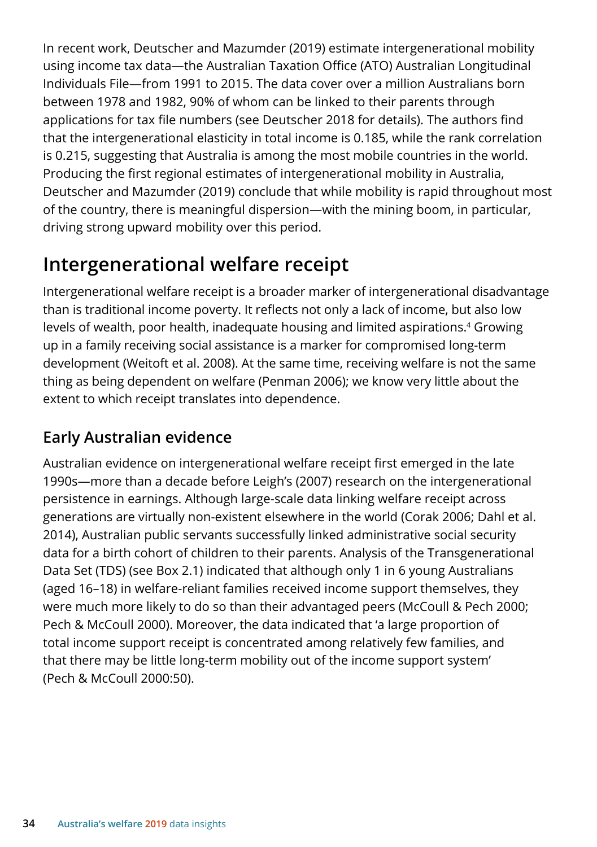In recent work, Deutscher and Mazumder (2019) estimate intergenerational mobility using income tax data—the Australian Taxation Office (ATO) Australian Longitudinal Individuals File—from 1991 to 2015. The data cover over a million Australians born between 1978 and 1982, 90% of whom can be linked to their parents through applications for tax file numbers (see Deutscher 2018 for details). The authors find that the intergenerational elasticity in total income is 0.185, while the rank correlation is 0.215, suggesting that Australia is among the most mobile countries in the world. Producing the first regional estimates of intergenerational mobility in Australia, Deutscher and Mazumder (2019) conclude that while mobility is rapid throughout most of the country, there is meaningful dispersion—with the mining boom, in particular, driving strong upward mobility over this period.

# **Intergenerational welfare receipt**

Intergenerational welfare receipt is a broader marker of intergenerational disadvantage than is traditional income poverty. It reflects not only a lack of income, but also low levels of wealth, poor health, inadequate housing and limited aspirations.<sup>4</sup> Growing up in a family receiving social assistance is a marker for compromised long-term development (Weitoft et al. 2008). At the same time, receiving welfare is not the same thing as being dependent on welfare (Penman 2006); we know very little about the extent to which receipt translates into dependence.

## **Early Australian evidence**

Australian evidence on intergenerational welfare receipt first emerged in the late 1990s—more than a decade before Leigh's (2007) research on the intergenerational persistence in earnings. Although large-scale data linking welfare receipt across generations are virtually non-existent elsewhere in the world (Corak 2006; Dahl et al. 2014), Australian public servants successfully linked administrative social security data for a birth cohort of children to their parents. Analysis of the Transgenerational Data Set (TDS) (see Box 2.1) indicated that although only 1 in 6 young Australians (aged 16–18) in welfare-reliant families received income support themselves, they were much more likely to do so than their advantaged peers (McCoull & Pech 2000; Pech & McCoull 2000). Moreover, the data indicated that 'a large proportion of total income support receipt is concentrated among relatively few families, and that there may be little long-term mobility out of the income support system' (Pech & McCoull 2000:50).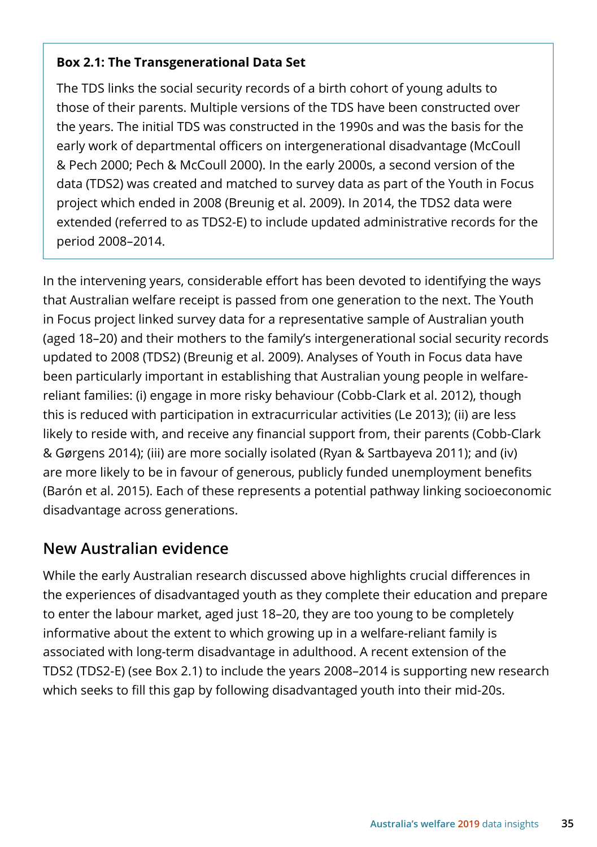#### **Box 2.1: The Transgenerational Data Set**

The TDS links the social security records of a birth cohort of young adults to those of their parents. Multiple versions of the TDS have been constructed over the years. The initial TDS was constructed in the 1990s and was the basis for the early work of departmental officers on intergenerational disadvantage (McCoull & Pech 2000; Pech & McCoull 2000). In the early 2000s, a second version of the data (TDS2) was created and matched to survey data as part of the Youth in Focus project which ended in 2008 (Breunig et al. 2009). In 2014, the TDS2 data were extended (referred to as TDS2-E) to include updated administrative records for the period 2008–2014.

In the intervening years, considerable effort has been devoted to identifying the ways that Australian welfare receipt is passed from one generation to the next. The Youth in Focus project linked survey data for a representative sample of Australian youth (aged 18–20) and their mothers to the family's intergenerational social security records updated to 2008 (TDS2) (Breunig et al. 2009). Analyses of Youth in Focus data have been particularly important in establishing that Australian young people in welfarereliant families: (i) engage in more risky behaviour (Cobb-Clark et al. 2012), though this is reduced with participation in extracurricular activities (Le 2013); (ii) are less likely to reside with, and receive any financial support from, their parents (Cobb-Clark & Gørgens 2014); (iii) are more socially isolated (Ryan & Sartbayeva 2011); and (iv) are more likely to be in favour of generous, publicly funded unemployment benefits (Barón et al. 2015). Each of these represents a potential pathway linking socioeconomic disadvantage across generations.

### **New Australian evidence**

While the early Australian research discussed above highlights crucial differences in the experiences of disadvantaged youth as they complete their education and prepare to enter the labour market, aged just 18–20, they are too young to be completely informative about the extent to which growing up in a welfare-reliant family is associated with long-term disadvantage in adulthood. A recent extension of the TDS2 (TDS2-E) (see Box 2.1) to include the years 2008–2014 is supporting new research which seeks to fill this gap by following disadvantaged youth into their mid-20s.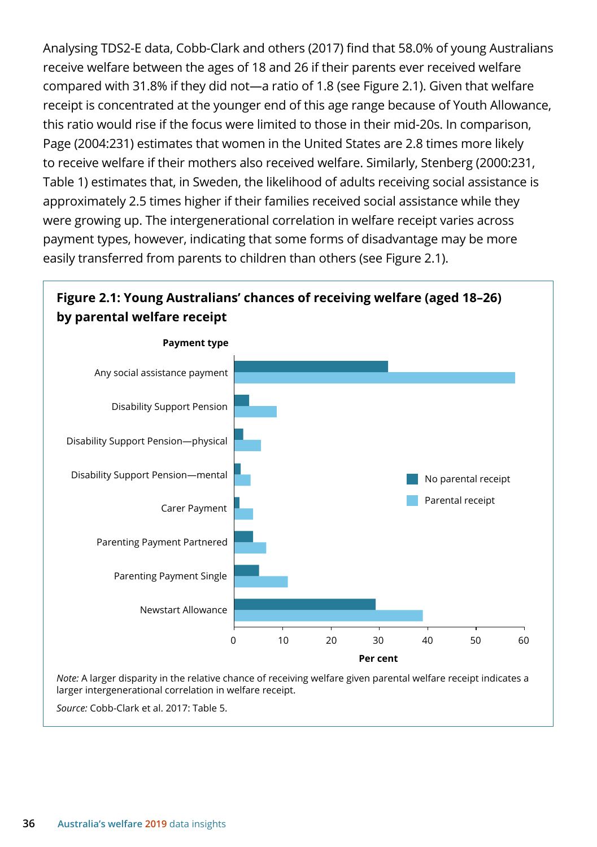Analysing TDS2-E data, Cobb-Clark and others (2017) find that 58.0% of young Australians receive welfare between the ages of 18 and 26 if their parents ever received welfare compared with 31.8% if they did not—a ratio of 1.8 (see Figure 2.1). Given that welfare receipt is concentrated at the younger end of this age range because of Youth Allowance, this ratio would rise if the focus were limited to those in their mid-20s. In comparison, Page (2004:231) estimates that women in the United States are 2.8 times more likely to receive welfare if their mothers also received welfare. Similarly, Stenberg (2000:231, Table 1) estimates that, in Sweden, the likelihood of adults receiving social assistance is approximately 2.5 times higher if their families received social assistance while they were growing up. The intergenerational correlation in welfare receipt varies across payment types, however, indicating that some forms of disadvantage may be more easily transferred from parents to children than others (see Figure 2.1).

## **Figure 2.1: Young Australians' chances of receiving welfare (aged 18–26) by parental welfare receipt**



*Source:* Cobb-Clark et al. 2017: Table 5.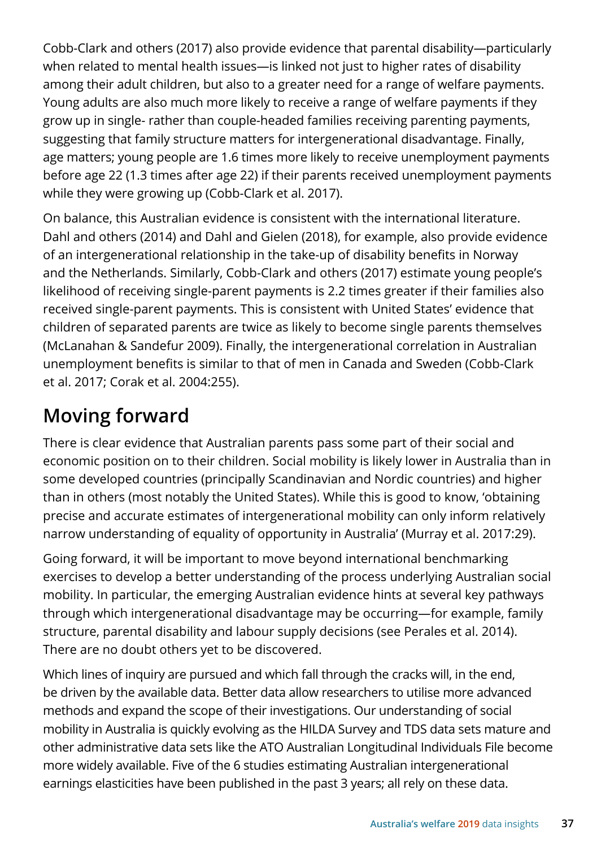Cobb-Clark and others (2017) also provide evidence that parental disability—particularly when related to mental health issues—is linked not just to higher rates of disability among their adult children, but also to a greater need for a range of welfare payments. Young adults are also much more likely to receive a range of welfare payments if they grow up in single- rather than couple-headed families receiving parenting payments, suggesting that family structure matters for intergenerational disadvantage. Finally, age matters; young people are 1.6 times more likely to receive unemployment payments before age 22 (1.3 times after age 22) if their parents received unemployment payments while they were growing up (Cobb-Clark et al. 2017).

On balance, this Australian evidence is consistent with the international literature. Dahl and others (2014) and Dahl and Gielen (2018), for example, also provide evidence of an intergenerational relationship in the take-up of disability benefits in Norway and the Netherlands. Similarly, Cobb-Clark and others (2017) estimate young people's likelihood of receiving single-parent payments is 2.2 times greater if their families also received single-parent payments. This is consistent with United States' evidence that children of separated parents are twice as likely to become single parents themselves (McLanahan & Sandefur 2009). Finally, the intergenerational correlation in Australian unemployment benefits is similar to that of men in Canada and Sweden (Cobb-Clark et al. 2017; Corak et al. 2004:255).

# **Moving forward**

There is clear evidence that Australian parents pass some part of their social and economic position on to their children. Social mobility is likely lower in Australia than in some developed countries (principally Scandinavian and Nordic countries) and higher than in others (most notably the United States). While this is good to know, 'obtaining precise and accurate estimates of intergenerational mobility can only inform relatively narrow understanding of equality of opportunity in Australia' (Murray et al. 2017:29).

Going forward, it will be important to move beyond international benchmarking exercises to develop a better understanding of the process underlying Australian social mobility. In particular, the emerging Australian evidence hints at several key pathways through which intergenerational disadvantage may be occurring—for example, family structure, parental disability and labour supply decisions (see Perales et al. 2014). There are no doubt others yet to be discovered.

Which lines of inquiry are pursued and which fall through the cracks will, in the end, be driven by the available data. Better data allow researchers to utilise more advanced methods and expand the scope of their investigations. Our understanding of social mobility in Australia is quickly evolving as the HILDA Survey and TDS data sets mature and other administrative data sets like the ATO Australian Longitudinal Individuals File become more widely available. Five of the 6 studies estimating Australian intergenerational earnings elasticities have been published in the past 3 years; all rely on these data.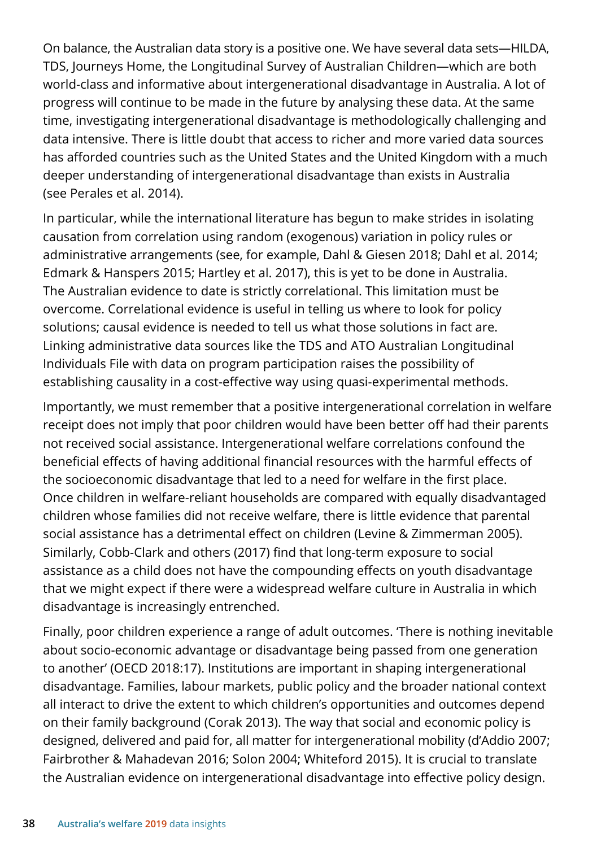On balance, the Australian data story is a positive one. We have several data sets—HILDA, TDS, Journeys Home, the Longitudinal Survey of Australian Children—which are both world-class and informative about intergenerational disadvantage in Australia. A lot of progress will continue to be made in the future by analysing these data. At the same time, investigating intergenerational disadvantage is methodologically challenging and data intensive. There is little doubt that access to richer and more varied data sources has afforded countries such as the United States and the United Kingdom with a much deeper understanding of intergenerational disadvantage than exists in Australia (see Perales et al. 2014).

In particular, while the international literature has begun to make strides in isolating causation from correlation using random (exogenous) variation in policy rules or administrative arrangements (see, for example, Dahl & Giesen 2018; Dahl et al. 2014; Edmark & Hanspers 2015; Hartley et al. 2017), this is yet to be done in Australia. The Australian evidence to date is strictly correlational. This limitation must be overcome. Correlational evidence is useful in telling us where to look for policy solutions; causal evidence is needed to tell us what those solutions in fact are. Linking administrative data sources like the TDS and ATO Australian Longitudinal Individuals File with data on program participation raises the possibility of establishing causality in a cost-effective way using quasi-experimental methods.

Importantly, we must remember that a positive intergenerational correlation in welfare receipt does not imply that poor children would have been better off had their parents not received social assistance. Intergenerational welfare correlations confound the beneficial effects of having additional financial resources with the harmful effects of the socioeconomic disadvantage that led to a need for welfare in the first place. Once children in welfare-reliant households are compared with equally disadvantaged children whose families did not receive welfare, there is little evidence that parental social assistance has a detrimental effect on children (Levine & Zimmerman 2005). Similarly, Cobb-Clark and others (2017) find that long-term exposure to social assistance as a child does not have the compounding effects on youth disadvantage that we might expect if there were a widespread welfare culture in Australia in which disadvantage is increasingly entrenched.

Finally, poor children experience a range of adult outcomes. 'There is nothing inevitable about socio-economic advantage or disadvantage being passed from one generation to another' (OECD 2018:17). Institutions are important in shaping intergenerational disadvantage. Families, labour markets, public policy and the broader national context all interact to drive the extent to which children's opportunities and outcomes depend on their family background (Corak 2013). The way that social and economic policy is designed, delivered and paid for, all matter for intergenerational mobility (d'Addio 2007; Fairbrother & Mahadevan 2016; Solon 2004; Whiteford 2015). It is crucial to translate the Australian evidence on intergenerational disadvantage into effective policy design.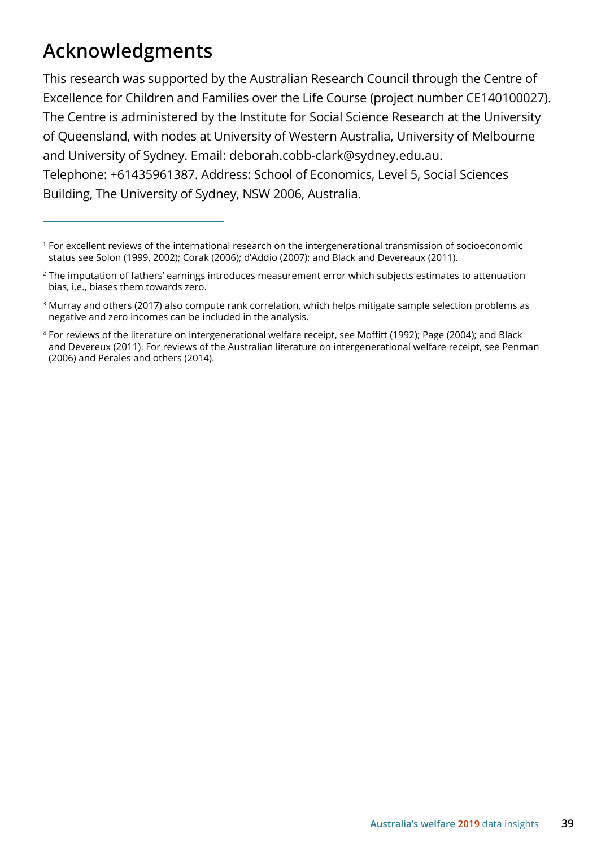# **Acknowledgments**

This research was supported by the Australian Research Council through the Centre of Excellence for Children and Families over the Life Course (project number CE140100027). The Centre is administered by the Institute for Social Science Research at the University of Queensland, with nodes at University of Western Australia, University of Melbourne and University of Sydney. Email: deborah.cobb-clark@sydney.edu.au. Telephone: +61435961387. Address: School of Economics, Level 5, Social Sciences Building, The University of Sydney, NSW 2006, Australia.

<sup>1</sup> For excellent reviews of the international research on the intergenerational transmission of socioeconomic status see Solon (1999, 2002); Corak (2006); d'Addio (2007); and Black and Devereaux (2011).

<sup>&</sup>lt;sup>2</sup> The imputation of fathers' earnings introduces measurement error which subjects estimates to attenuation bias, i.e., biases them towards zero.

<sup>&</sup>lt;sup>3</sup> Murray and others (2017) also compute rank correlation, which helps mitigate sample selection problems as negative and zero incomes can be included in the analysis.

<sup>4</sup> For reviews of the literature on intergenerational welfare receipt, see Moffitt (1992); Page (2004); and Black and Devereux (2011). For reviews of the Australian literature on intergenerational welfare receipt, see Penman (2006) and Perales and others (2014).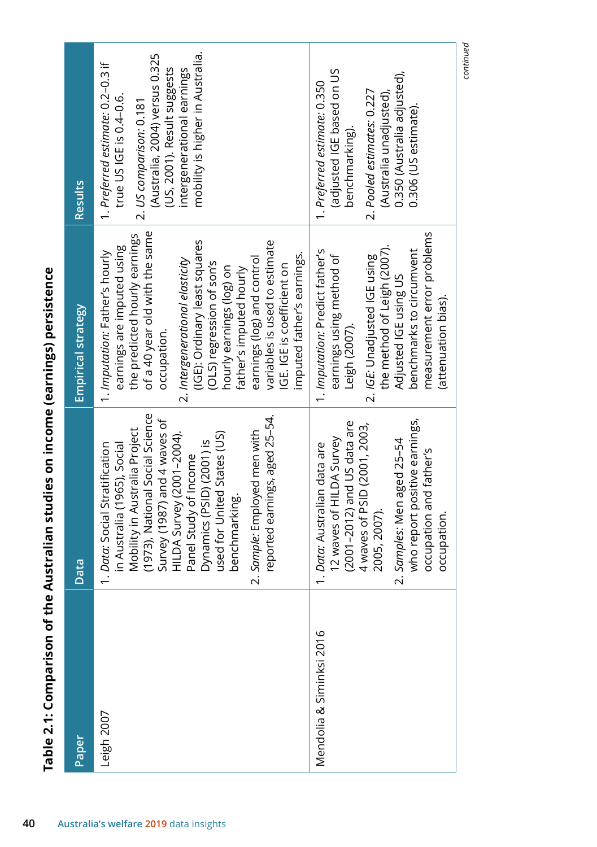| Paper                    | Data                                                                                                                                                                                                                                                                                                                                                                                         | <b>Empirical strategy</b>                                                                                                                                                                                                                                                                                                                                                                                                         | Results                                                                                                                                                                                                                    |
|--------------------------|----------------------------------------------------------------------------------------------------------------------------------------------------------------------------------------------------------------------------------------------------------------------------------------------------------------------------------------------------------------------------------------------|-----------------------------------------------------------------------------------------------------------------------------------------------------------------------------------------------------------------------------------------------------------------------------------------------------------------------------------------------------------------------------------------------------------------------------------|----------------------------------------------------------------------------------------------------------------------------------------------------------------------------------------------------------------------------|
| Leigh 2007               | (1973), National Social Science<br>reported earnings, aged 25-54.<br>Survey (1987) and 4 waves of<br>Mobility in Australia Project<br>used for United States (US)<br>Sample: Employed men with<br>HILDA Survey (2001-2004).<br>Dynamics (PSID) (2001) is<br>Data: Social Stratification<br>in Australia (1965), Social<br>Panel Study of Income<br>benchmarking.<br>$\sim$<br>$\overline{ }$ | of a 40 year old with the same<br>the predicted hourly earnings<br>(IGE): Ordinary least squares<br>variables is used to estimate<br>earnings are imputed using<br>1. Imputation: Father's hourly<br>imputed father's earnings.<br>earnings (log) and control<br>2. Intergenerational elasticity<br>(OLS) regression of son's<br>IGE. IGE is coefficient on<br>hourly earnings (log) on<br>father's imputed hourly<br>occupation. | mobility is higher in Australia.<br>(Australia, 2004) versus 0.325<br>1. Preferred estimate: 0.2-0.3 if<br>(US, 2001). Result suggests<br>intergenerational earnings<br>true US IGE is 0.4-0.6.<br>2. US comparison: 0.181 |
| Mendolia & Siminksi 2016 | who report positive earnings,<br>(2001-2012) and US data are<br>4 waves of PSID (2001, 2003,<br>12 waves of HILDA Survey<br>Samples: Men aged 25-54<br>Data: Australian data are<br>occupation and father's<br>2005, 2007).<br>occupation.<br>$\sim$<br>$\overline{ }$                                                                                                                       | measurement error problems<br>the method of Leigh (2007).<br>benchmarks to circumvent<br>1. Imputation: Predict father's<br>earnings using method of<br>2. /GE: Unadjusted IGE using<br>Adjusted IGE using US<br>(attenuation bias).<br>Leigh (2007).                                                                                                                                                                             | adjusted IGE based on US<br>0.350 (Australia adjusted),<br>1. Preferred estimate: 0.350<br>2. Pooled estimates: 0.227<br>(Australia unadjusted)<br>$0.306$ (US estimate).<br>benchmarking).                                |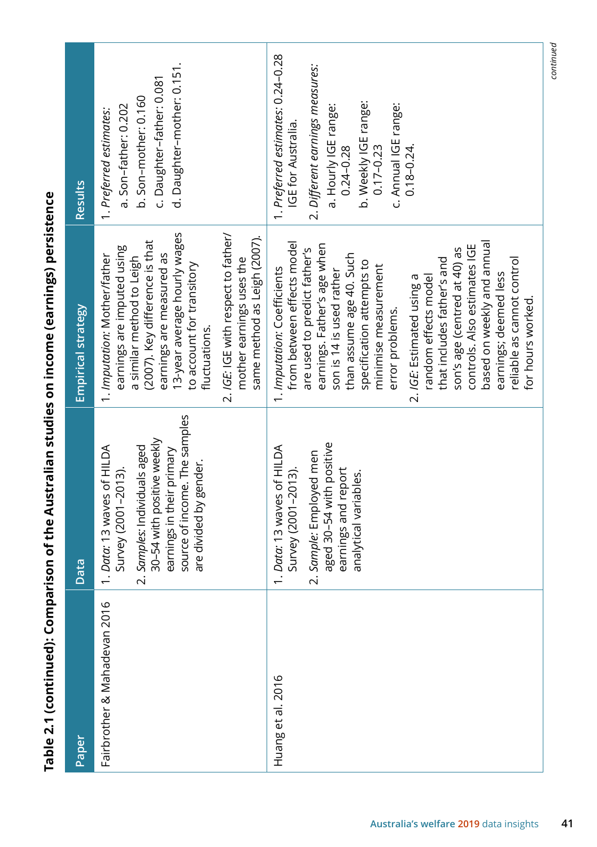| Results                   | d. Daughter-mother: 0.151.<br>c. Daughter-father: 0.081<br>b. Son-mother: 0.160<br>a. Son-father: 0.202<br>1. Preferred estimates:                                                                                                                                                                                                     | 1. Preferred estimates: 0.24-0.28<br>2. Different earnings measures:<br>b. Weekly IGE range:<br>c. Annual IGE range:<br>a. Hourly IGE range:<br><b>IGE for Australia.</b><br>$0.24 - 0.28$<br>$0.18 - 0.24$<br>$0.17 - 0.23$                                                                                                                                                                                                                                                                                          |
|---------------------------|----------------------------------------------------------------------------------------------------------------------------------------------------------------------------------------------------------------------------------------------------------------------------------------------------------------------------------------|-----------------------------------------------------------------------------------------------------------------------------------------------------------------------------------------------------------------------------------------------------------------------------------------------------------------------------------------------------------------------------------------------------------------------------------------------------------------------------------------------------------------------|
| <b>Empirical strategy</b> | 13-year average hourly wages<br>2. IGE: IGE with respect to father/<br>same method as Leigh (2007).<br>(2007). Key difference is that<br>earnings are imputed using<br>earnings are measured as<br>1. Imputation: Mother/father<br>a similar method to Leigh<br>mother earnings uses the<br>to account for transitory<br>fluctuations. | from between effects model<br>based on weekly and annual<br>earnings. Father's age when<br>controls. Also estimates IGE<br>are used to predict father's<br>son's age (centred at 40) as<br>than assume age 40. Such<br>reliable as cannot control<br>that includes father's and<br>specification attempts to<br>minimise measurement<br>1. Imputation: Coefficients<br>son is 14 is used rather<br>earnings; deemed less<br>random effects model<br>2. IGE: Estimated using a<br>for hours worked.<br>error problems. |
| Data                      | source of income. The samples<br>30-54 with positive weekly<br>1. Data: 13 waves of HILDA<br>2. Samples: Individuals aged<br>earnings in their primary<br>are divided by gender.<br>Survey (2001-2013).                                                                                                                                | aged 30-54 with positive<br>1. Data: 13 waves of HILDA<br>2. Sample: Employed men<br>earnings and report<br>Survey (2001-2013).<br>analytical variables.                                                                                                                                                                                                                                                                                                                                                              |
| Paper                     | Fairbrother & Mahadevan 2016                                                                                                                                                                                                                                                                                                           | Huang et al. 2016                                                                                                                                                                                                                                                                                                                                                                                                                                                                                                     |

Table 2.1 (continued): Comparison of the Australian studies on income (earnings) persistence **Table 2.1 (continued): Comparison of the Australian studies on income (earnings) persistence** *continued*

continued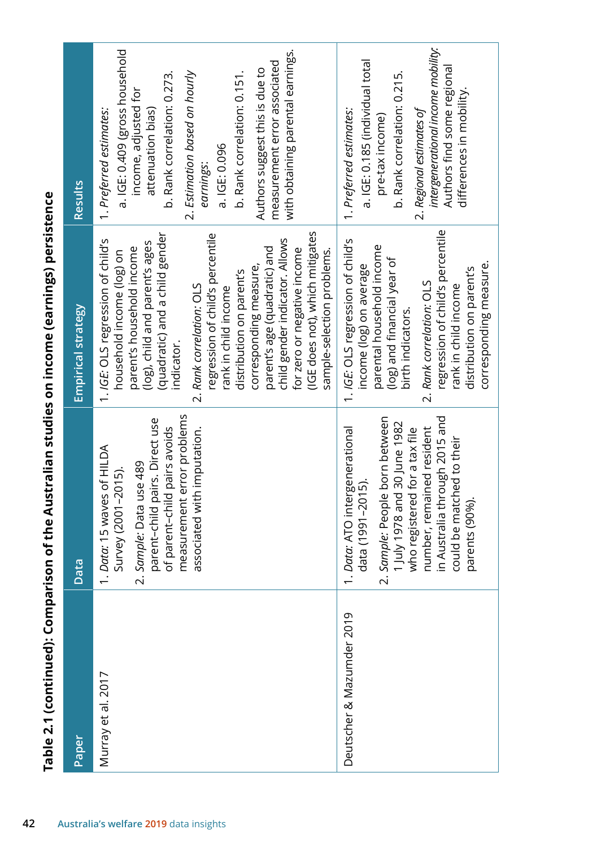| <b>Results</b>                                        | a. IGE: 0.409 (gross household<br>with obtaining parental earnings.<br>measurement error associated<br>Authors suggest this is due to<br>2. Estimation based on hourly<br>b. Rank correlation: 0.273.<br>b. Rank correlation: 0.151.<br>income, adjusted for<br>attenuation bias)<br>1. Preferred estimates:<br>a. IGE: 0.096<br>earnings:<br>(IGE does not), which mitigates<br>(quadratic) and a child gender<br>regression of child's percentile<br>child gender indicator. Allows<br>1. IGE: OLS regression of child's<br>(log), child and parent's ages<br>parent's household income<br>parent's age (quadratic) and<br>for zero or negative income<br>household income (log) on<br>sample-selection problems.<br>corresponding measure,<br>distribution on parent's<br>2. Rank correlation: OLS<br>rank in child income | intergenerational income mobility:<br>a. IGE: 0.185 (individual total<br>Authors find some regional<br>b. Rank correlation: 0.215.<br>differences in mobility.<br>2. Regional estimates of<br>1. Preferred estimates:<br>pre-tax income)<br>regression of child's percentile<br>1. IGE: OLS regression of child's<br>parental household income<br>(log) and financial year of<br>income (log) on average<br>distribution on parent's<br>2. Rank correlation: OLS<br>rank in child income<br>birth indicators. |
|-------------------------------------------------------|-------------------------------------------------------------------------------------------------------------------------------------------------------------------------------------------------------------------------------------------------------------------------------------------------------------------------------------------------------------------------------------------------------------------------------------------------------------------------------------------------------------------------------------------------------------------------------------------------------------------------------------------------------------------------------------------------------------------------------------------------------------------------------------------------------------------------------|---------------------------------------------------------------------------------------------------------------------------------------------------------------------------------------------------------------------------------------------------------------------------------------------------------------------------------------------------------------------------------------------------------------------------------------------------------------------------------------------------------------|
| <b>Empirical strategy</b><br>ata<br>$\mathbf{\Omega}$ | indicator.<br>measurement error problems<br>parent-child pairs. Direct use<br>of parent-child pairs avoids<br>associated with imputation.<br>Data: 15 waves of HILDA<br>Sample: Data use 489<br>Survey (2001-2015).<br>$\dot{\sim}$                                                                                                                                                                                                                                                                                                                                                                                                                                                                                                                                                                                           | in Australia through 2015 and<br>Sample: People born between<br>1 July 1978 and 30 June 1982<br>Data: ATO intergenerational<br>number, remained resident<br>who registered for a tax file<br>could be matched to their<br>data (1991–2015).<br>parents (90%).<br>$\sim$                                                                                                                                                                                                                                       |
| Paper                                                 | Murray et al. 2017                                                                                                                                                                                                                                                                                                                                                                                                                                                                                                                                                                                                                                                                                                                                                                                                            | $\overline{\Omega}$<br>Deutscher & Mazumder 201                                                                                                                                                                                                                                                                                                                                                                                                                                                               |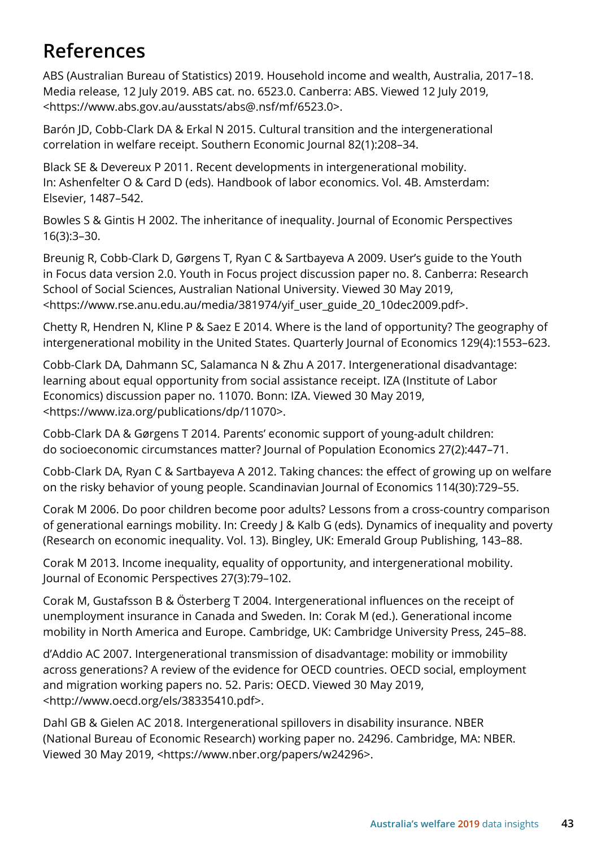# **References**

ABS (Australian Bureau of Statistics) 2019. Household income and wealth, Australia, 2017–18. Media release, 12 July 2019. ABS cat. no. 6523.0. Canberra: ABS. Viewed 12 July 2019, <https://www.abs.gov.au/ausstats/abs@.nsf/mf/6523.0>.

Barón JD, Cobb-Clark DA & Erkal N 2015. Cultural transition and the intergenerational correlation in welfare receipt. Southern Economic Journal 82(1):208–34.

Black SE & Devereux P 2011. Recent developments in intergenerational mobility. In: Ashenfelter O & Card D (eds). Handbook of labor economics. Vol. 4B. Amsterdam: Elsevier, 1487–542.

Bowles S & Gintis H 2002. The inheritance of inequality. Journal of Economic Perspectives 16(3):3–30.

Breunig R, Cobb-Clark D, Gørgens T, Ryan C & Sartbayeva A 2009. User's guide to the Youth in Focus data version 2.0. Youth in Focus project discussion paper no. 8. Canberra: Research School of Social Sciences, Australian National University. Viewed 30 May 2019, <https://www.rse.anu.edu.au/media/381974/yif\_user\_guide\_20\_10dec2009.pdf>.

Chetty R, Hendren N, Kline P & Saez E 2014. Where is the land of opportunity? The geography of intergenerational mobility in the United States. Quarterly Journal of Economics 129(4):1553–623.

Cobb-Clark DA, Dahmann SC, Salamanca N & Zhu A 2017. Intergenerational disadvantage: learning about equal opportunity from social assistance receipt. IZA (Institute of Labor Economics) discussion paper no. 11070. Bonn: IZA. Viewed 30 May 2019, <https://www.iza.org/publications/dp/11070>.

Cobb-Clark DA & Gørgens T 2014. Parents' economic support of young-adult children: do socioeconomic circumstances matter? Journal of Population Economics 27(2):447–71.

Cobb-Clark DA, Ryan C & Sartbayeva A 2012. Taking chances: the effect of growing up on welfare on the risky behavior of young people. Scandinavian Journal of Economics 114(30):729–55.

Corak M 2006. Do poor children become poor adults? Lessons from a cross-country comparison of generational earnings mobility. In: Creedy J & Kalb G (eds). Dynamics of inequality and poverty (Research on economic inequality. Vol. 13). Bingley, UK: Emerald Group Publishing, 143–88.

Corak M 2013. Income inequality, equality of opportunity, and intergenerational mobility. Journal of Economic Perspectives 27(3):79–102.

Corak M, Gustafsson B & Österberg T 2004. Intergenerational influences on the receipt of unemployment insurance in Canada and Sweden. In: Corak M (ed.). Generational income mobility in North America and Europe. Cambridge, UK: Cambridge University Press, 245–88.

d'Addio AC 2007. Intergenerational transmission of disadvantage: mobility or immobility across generations? A review of the evidence for OECD countries. OECD social, employment and migration working papers no. 52. Paris: OECD. Viewed 30 May 2019, <http://www.oecd.org/els/38335410.pdf>.

Dahl GB & Gielen AC 2018. Intergenerational spillovers in disability insurance. NBER (National Bureau of Economic Research) working paper no. 24296. Cambridge, MA: NBER. Viewed 30 May 2019, <https://www.nber.org/papers/w24296>.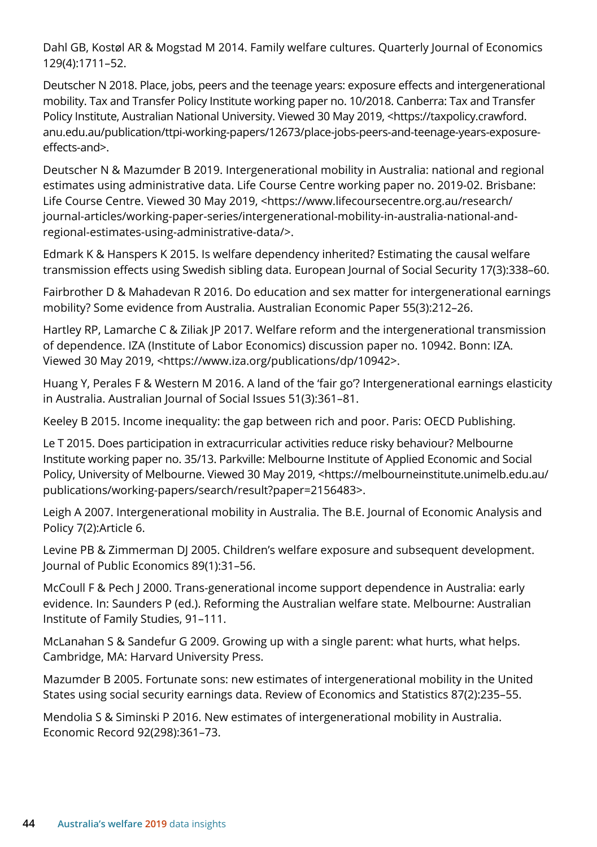Dahl GB, Kostøl AR & Mogstad M 2014. Family welfare cultures. Quarterly Journal of Economics 129(4):1711–52.

Deutscher N 2018. Place, jobs, peers and the teenage years: exposure effects and intergenerational mobility. Tax and Transfer Policy Institute working paper no. 10/2018. Canberra: Tax and Transfer Policy Institute, Australian National University. Viewed 30 May 2019, <https://taxpolicy.crawford. anu.edu.au/publication/ttpi-working-papers/12673/place-jobs-peers-and-teenage-years-exposureeffects-and>.

Deutscher N & Mazumder B 2019. Intergenerational mobility in Australia: national and regional estimates using administrative data. Life Course Centre working paper no. 2019-02. Brisbane: Life Course Centre. Viewed 30 May 2019, <https://www.lifecoursecentre.org.au/research/ journal-articles/working-paper-series/intergenerational-mobility-in-australia-national-andregional-estimates-using-administrative-data/>.

Edmark K & Hanspers K 2015. Is welfare dependency inherited? Estimating the causal welfare transmission effects using Swedish sibling data. European Journal of Social Security 17(3):338–60.

Fairbrother D & Mahadevan R 2016. Do education and sex matter for intergenerational earnings mobility? Some evidence from Australia. Australian Economic Paper 55(3):212–26.

Hartley RP, Lamarche C & Ziliak JP 2017. Welfare reform and the intergenerational transmission of dependence. IZA (Institute of Labor Economics) discussion paper no. 10942. Bonn: IZA. Viewed 30 May 2019, <https://www.iza.org/publications/dp/10942>.

Huang Y, Perales F & Western M 2016. A land of the 'fair go'? Intergenerational earnings elasticity in Australia. Australian Journal of Social Issues 51(3):361–81.

Keeley B 2015. Income inequality: the gap between rich and poor. Paris: OECD Publishing.

Le T 2015. Does participation in extracurricular activities reduce risky behaviour? Melbourne Institute working paper no. 35/13. Parkville: Melbourne Institute of Applied Economic and Social Policy, University of Melbourne. Viewed 30 May 2019, <https://melbourneinstitute.unimelb.edu.au/ publications/working-papers/search/result?paper=2156483>.

Leigh A 2007. Intergenerational mobility in Australia. The B.E. Journal of Economic Analysis and Policy 7(2):Article 6.

Levine PB & Zimmerman DJ 2005. Children's welfare exposure and subsequent development. Journal of Public Economics 89(1):31–56.

McCoull F & Pech J 2000. Trans-generational income support dependence in Australia: early evidence. In: Saunders P (ed.). Reforming the Australian welfare state. Melbourne: Australian Institute of Family Studies, 91–111.

McLanahan S & Sandefur G 2009. Growing up with a single parent: what hurts, what helps. Cambridge, MA: Harvard University Press.

Mazumder B 2005. Fortunate sons: new estimates of intergenerational mobility in the United States using social security earnings data. Review of Economics and Statistics 87(2):235–55.

Mendolia S & Siminski P 2016. New estimates of intergenerational mobility in Australia. Economic Record 92(298):361–73.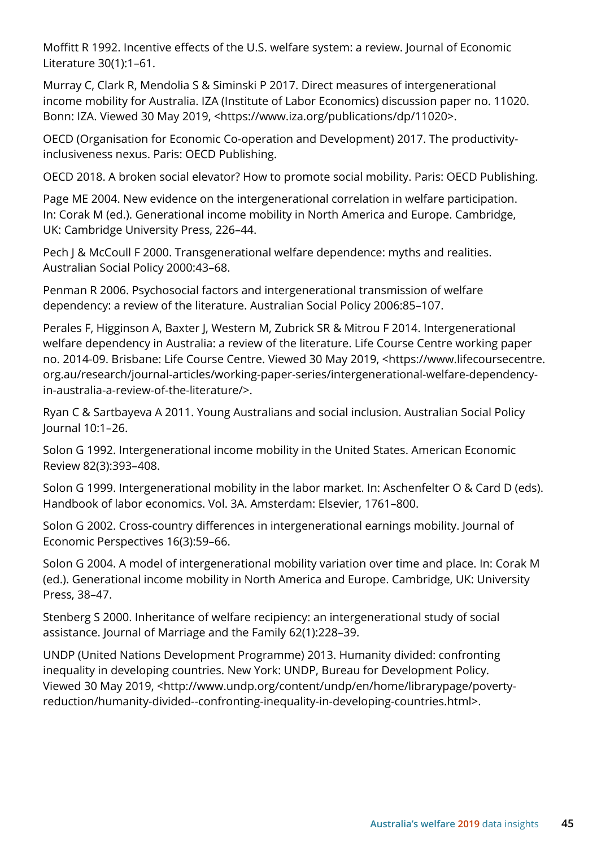Moffitt R 1992. Incentive effects of the U.S. welfare system: a review. Journal of Economic Literature 30(1):1–61.

Murray C, Clark R, Mendolia S & Siminski P 2017. Direct measures of intergenerational income mobility for Australia. IZA (Institute of Labor Economics) discussion paper no. 11020. Bonn: IZA. Viewed 30 May 2019, <https://www.iza.org/publications/dp/11020>.

OECD (Organisation for Economic Co-operation and Development) 2017. The productivityinclusiveness nexus. Paris: OECD Publishing.

OECD 2018. A broken social elevator? How to promote social mobility. Paris: OECD Publishing.

Page ME 2004. New evidence on the intergenerational correlation in welfare participation. In: Corak M (ed.). Generational income mobility in North America and Europe. Cambridge, UK: Cambridge University Press, 226–44.

Pech J & McCoull F 2000. Transgenerational welfare dependence: myths and realities. Australian Social Policy 2000:43–68.

Penman R 2006. Psychosocial factors and intergenerational transmission of welfare dependency: a review of the literature. Australian Social Policy 2006:85–107.

Perales F, Higginson A, Baxter J, Western M, Zubrick SR & Mitrou F 2014. Intergenerational welfare dependency in Australia: a review of the literature. Life Course Centre working paper no. 2014-09. Brisbane: Life Course Centre. Viewed 30 May 2019, <https://www.lifecoursecentre. org.au/research/journal-articles/working-paper-series/intergenerational-welfare-dependencyin-australia-a-review-of-the-literature/>.

Ryan C & Sartbayeva A 2011. Young Australians and social inclusion. Australian Social Policy Journal 10:1–26.

Solon G 1992. Intergenerational income mobility in the United States. American Economic Review 82(3):393–408.

Solon G 1999. Intergenerational mobility in the labor market. In: Aschenfelter O & Card D (eds). Handbook of labor economics. Vol. 3A. Amsterdam: Elsevier, 1761–800.

Solon G 2002. Cross-country differences in intergenerational earnings mobility. Journal of Economic Perspectives 16(3):59–66.

Solon G 2004. A model of intergenerational mobility variation over time and place. In: Corak M (ed.). Generational income mobility in North America and Europe. Cambridge, UK: University Press, 38–47.

Stenberg S 2000. Inheritance of welfare recipiency: an intergenerational study of social assistance. Journal of Marriage and the Family 62(1):228–39.

UNDP (United Nations Development Programme) 2013. Humanity divided: confronting inequality in developing countries. New York: UNDP, Bureau for Development Policy. Viewed 30 May 2019, <http://www.undp.org/content/undp/en/home/librarypage/povertyreduction/humanity-divided--confronting-inequality-in-developing-countries.html>.